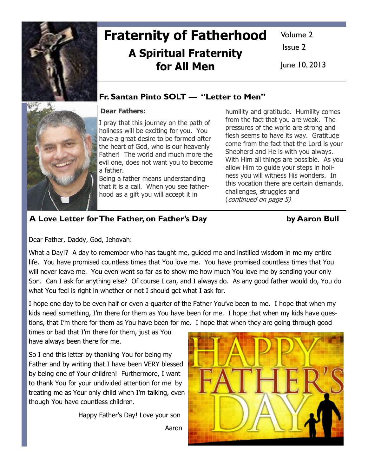

# Fraternity of Fatherhood A Spiritual Fraternity for All Men

Volume 2

Issue 2

June 10, 2013

## Fr. Santan Pinto SOLT — "Letter to Men"

## Dear Fathers:

I pray that this journey on the path of holiness will be exciting for you. You have a great desire to be formed after the heart of God, who is our heavenly Father! The world and much more the evil one, does not want you to become a father.

Being a father means understanding that it is a call. When you see fatherhood as a gift you will accept it in

humility and gratitude. Humility comes from the fact that you are weak. The pressures of the world are strong and flesh seems to have its way. Gratitude come from the fact that the Lord is your Shepherd and He is with you always. With Him all things are possible. As you allow Him to guide your steps in holiness you will witness His wonders. In this vocation there are certain demands, challenges, struggles and (continued on page 5)

## A Love Letter for The Father, on Father's Day by Aaron Bull

Dear Father, Daddy, God, Jehovah:

What a Day!? A day to remember who has taught me, guided me and instilled wisdom in me my entire life. You have promised countless times that You love me. You have promised countless times that You will never leave me. You even went so far as to show me how much You love me by sending your only Son. Can I ask for anything else? Of course I can, and I always do. As any good father would do, You do what You feel is right in whether or not I should get what I ask for.

I hope one day to be even half or even a quarter of the Father You've been to me. I hope that when my kids need something, I'm there for them as You have been for me. I hope that when my kids have questions, that I'm there for them as You have been for me. I hope that when they are going through good

times or bad that I'm there for them, just as You have always been there for me.

So I end this letter by thanking You for being my Father and by writing that I have been VERY blessed by being one of Your children! Furthermore, I want to thank You for your undivided attention for me by treating me as Your only child when I'm talking, even though You have countless children.

Happy Father's Day! Love your son

Aaron



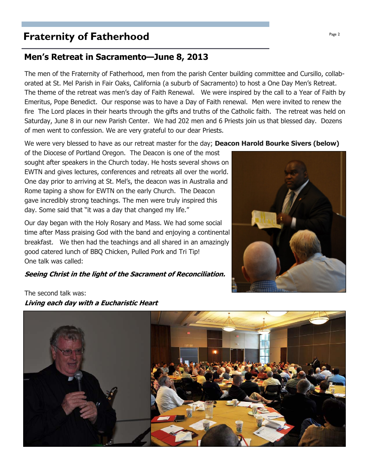# **Fraternity of Fatherhood Page 2 Page 2**

## Men's Retreat in Sacramento—June 8, 2013

The men of the Fraternity of Fatherhood, men from the parish Center building committee and Cursillo, collaborated at St. Mel Parish in Fair Oaks, California (a suburb of Sacramento) to host a One Day Men's Retreat. The theme of the retreat was men's day of Faith Renewal. We were inspired by the call to a Year of Faith by Emeritus, Pope Benedict. Our response was to have a Day of Faith renewal. Men were invited to renew the fire The Lord places in their hearts through the gifts and truths of the Catholic faith. The retreat was held on Saturday, June 8 in our new Parish Center. We had 202 men and 6 Priests join us that blessed day. Dozens of men went to confession. We are very grateful to our dear Priests.

We were very blessed to have as our retreat master for the day; **Deacon Harold Bourke Sivers (below)** 

of the Diocese of Portland Oregon. The Deacon is one of the most sought after speakers in the Church today. He hosts several shows on EWTN and gives lectures, conferences and retreats all over the world. One day prior to arriving at St. Mel's, the deacon was in Australia and Rome taping a show for EWTN on the early Church. The Deacon gave incredibly strong teachings. The men were truly inspired this day. Some said that "it was a day that changed my life."

Our day began with the Holy Rosary and Mass. We had some social time after Mass praising God with the band and enjoying a continental breakfast. We then had the teachings and all shared in an amazingly good catered lunch of BBQ Chicken, Pulled Pork and Tri Tip! One talk was called:

#### Seeing Christ in the light of the Sacrament of Reconciliation.





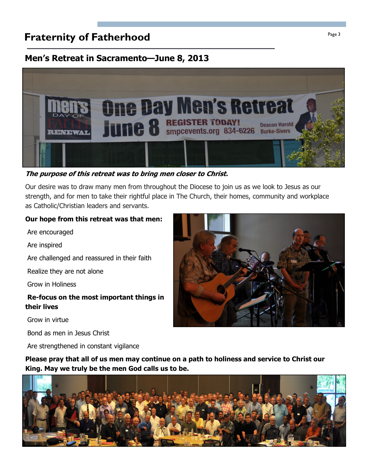# **Fraternity of Fatherhood Page 3**

## Men's Retreat in Sacramento—June 8, 2013



The purpose of this retreat was to bring men closer to Christ.

Our desire was to draw many men from throughout the Diocese to join us as we look to Jesus as our strength, and for men to take their rightful place in The Church, their homes, community and workplace as Catholic/Christian leaders and servants.

#### Our hope from this retreat was that men:

Are encouraged

Are inspired

Are challenged and reassured in their faith

Realize they are not alone

Grow in Holiness

#### Re-focus on the most important things in their lives

Grow in virtue

Bond as men in Jesus Christ

Are strengthened in constant vigilance

Please pray that all of us men may continue on a path to holiness and service to Christ our King. May we truly be the men God calls us to be.



![](_page_2_Picture_17.jpeg)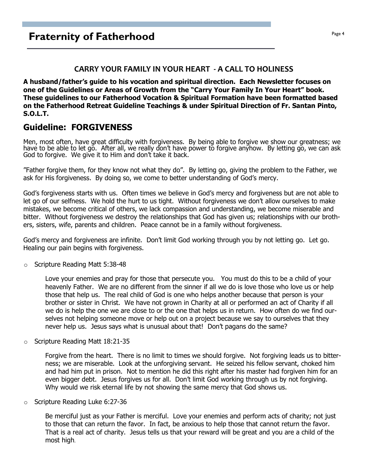#### CARRY YOUR FAMILY IN YOUR HEART - A CALL TO HOLINESS

A husband/father's guide to his vocation and spiritual direction. Each Newsletter focuses on one of the Guidelines or Areas of Growth from the "Carry Your Family In Your Heart" book. These guidelines to our Fatherhood Vocation & Spiritual Formation have been formatted based on the Fatherhood Retreat Guideline Teachings & under Spiritual Direction of Fr. Santan Pinto, S.O.L.T.

## Guideline: FORGIVENESS

Men, most often, have great difficulty with forgiveness. By being able to forgive we show our greatness; we have to be able to let go. After all, we really don't have power to forgive anyhow. By letting go, we can ask God to forgive. We give it to Him and don't take it back.

"Father forgive them, for they know not what they do". By letting go, giving the problem to the Father, we ask for His forgiveness. By doing so, we come to better understanding of God's mercy.

God's forgiveness starts with us. Often times we believe in God's mercy and forgiveness but are not able to let go of our selfness. We hold the hurt to us tight. Without forgiveness we don't allow ourselves to make mistakes, we become critical of others, we lack compassion and understanding, we become miserable and bitter. Without forgiveness we destroy the relationships that God has given us; relationships with our brothers, sisters, wife, parents and children. Peace cannot be in a family without forgiveness.

God's mercy and forgiveness are infinite. Don't limit God working through you by not letting go. Let go. Healing our pain begins with forgiveness.

o Scripture Reading Matt 5:38-48

Love your enemies and pray for those that persecute you. You must do this to be a child of your heavenly Father. We are no different from the sinner if all we do is love those who love us or help those that help us. The real child of God is one who helps another because that person is your brother or sister in Christ. We have not grown in Charity at all or performed an act of Charity if all we do is help the one we are close to or the one that helps us in return. How often do we find ourselves not helping someone move or help out on a project because we say to ourselves that they never help us. Jesus says what is unusual about that! Don't pagans do the same?

Scripture Reading Matt 18:21-35

Forgive from the heart. There is no limit to times we should forgive. Not forgiving leads us to bitterness; we are miserable. Look at the unforgiving servant. He seized his fellow servant, choked him and had him put in prison. Not to mention he did this right after his master had forgiven him for an even bigger debt. Jesus forgives us for all. Don't limit God working through us by not forgiving. Why would we risk eternal life by not showing the same mercy that God shows us.

o Scripture Reading Luke 6:27-36

Be merciful just as your Father is merciful. Love your enemies and perform acts of charity; not just to those that can return the favor. In fact, be anxious to help those that cannot return the favor. That is a real act of charity. Jesus tells us that your reward will be great and you are a child of the most high.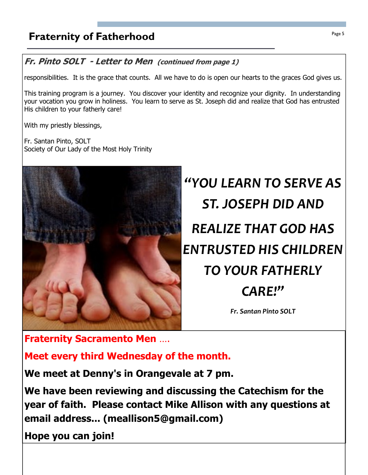# **Fraternity of Fatherhood Fraternity of Fatherhood**

## Fr. Pinto SOLT - Letter to Men (continued from page 1)

responsibilities. It is the grace that counts. All we have to do is open our hearts to the graces God gives us.

This training program is a journey. You discover your identity and recognize your dignity. In understanding your vocation you grow in holiness. You learn to serve as St. Joseph did and realize that God has entrusted His children to your fatherly care!

With my priestly blessings,

Fr. Santan Pinto, SOLT Society of Our Lady of the Most Holy Trinity

![](_page_4_Picture_6.jpeg)

"YOU LEARN TO SERVE AS ST. JOSEPH DID AND REALIZE THAT GOD HAS ENTRUSTED HIS CHILDREN TO YOUR FATHERLY CARE!" Fr. Santan Pinto SOLT

Fraternity Sacramento Men …. Meet every third Wednesday of the month.

We meet at Denny's in Orangevale at 7 pm.

We have been reviewing and discussing the Catechism for the year of faith. Please contact Mike Allison with any questions at email address... (meallison5@gmail.com)

Hope you can join!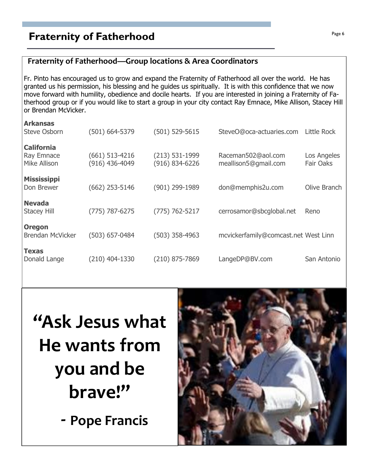# **Fraternity of Fatherhood Page 6** Fraternity of Fatherhood

#### Fraternity of Fatherhood—Group locations & Area Coordinators

Fr. Pinto has encouraged us to grow and expand the Fraternity of Fatherhood all over the world. He has granted us his permission, his blessing and he guides us spiritually. It is with this confidence that we now move forward with humility, obedience and docile hearts. If you are interested in joining a Fraternity of Fatherhood group or if you would like to start a group in your city contact Ray Emnace, Mike Allison, Stacey Hill or Brendan McVicker.

| <b>Arkansas</b>         |                  |                    |                                      |              |
|-------------------------|------------------|--------------------|--------------------------------------|--------------|
| <b>Steve Osborn</b>     | (501) 664-5379   | $(501) 529 - 5615$ | SteveO@oca-actuaries.com             | Little Rock  |
| <b>California</b>       |                  |                    |                                      |              |
| <b>Ray Emnace</b>       | $(661)$ 513-4216 | $(213) 531 - 1999$ | Raceman502@aol.com                   | Los Angeles  |
| Mike Allison            | (916) 436-4049   | $(916) 834 - 6226$ | meallison5@gmail.com                 | Fair Oaks    |
|                         |                  |                    |                                      |              |
| <b>Mississippi</b>      |                  |                    |                                      |              |
| Don Brewer              | $(662)$ 253-5146 | (901) 299-1989     | don@memphis2u.com                    | Olive Branch |
|                         |                  |                    |                                      |              |
| <b>Nevada</b>           |                  |                    |                                      |              |
|                         |                  |                    |                                      |              |
| <b>Stacey Hill</b>      | (775) 787-6275   | $(775) 762 - 5217$ | cerrosamor@sbcglobal.net             | Reno         |
|                         |                  |                    |                                      |              |
| <b>Oregon</b>           |                  |                    |                                      |              |
| <b>Brendan McVicker</b> | (503) 657-0484   | $(503)$ 358-4963   | mcvickerfamily@comcast.net West Linn |              |
|                         |                  |                    |                                      |              |
| <b>Texas</b>            |                  |                    |                                      |              |
| Donald Lange            | (210) 404-1330   | (210) 875-7869     | LangeDP@BV.com                       | San Antonio  |
|                         |                  |                    |                                      |              |

# "Ask Jesus what He wants from you and be brave!"

- Pope Francis

![](_page_5_Picture_6.jpeg)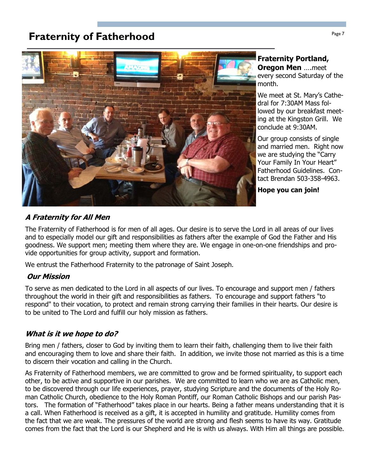# **Fraternity of Fatherhood Page 7** Fraternity of Fatherhood

![](_page_6_Picture_1.jpeg)

#### Fraternity Portland, **Oregon Men** ....meet

every second Saturday of the month.

We meet at St. Mary's Cathedral for 7:30AM Mass followed by our breakfast meeting at the Kingston Grill. We conclude at 9:30AM.

Our group consists of single and married men. Right now we are studying the "Carry Your Family In Your Heart" Fatherhood Guidelines. Contact Brendan 503-358-4963.

Hope you can join!

#### A Fraternity for All Men

The Fraternity of Fatherhood is for men of all ages. Our desire is to serve the Lord in all areas of our lives and to especially model our gift and responsibilities as fathers after the example of God the Father and His goodness. We support men; meeting them where they are. We engage in one-on-one friendships and provide opportunities for group activity, support and formation.

We entrust the Fatherhood Fraternity to the patronage of Saint Joseph.

#### Our Mission

To serve as men dedicated to the Lord in all aspects of our lives. To encourage and support men / fathers throughout the world in their gift and responsibilities as fathers. To encourage and support fathers "to respond" to their vocation, to protect and remain strong carrying their families in their hearts. Our desire is to be united to The Lord and fulfill our holy mission as fathers.

#### What is it we hope to do?

Bring men / fathers, closer to God by inviting them to learn their faith, challenging them to live their faith and encouraging them to love and share their faith. In addition, we invite those not married as this is a time to discern their vocation and calling in the Church.

As Fraternity of Fatherhood members, we are committed to grow and be formed spirituality, to support each other, to be active and supportive in our parishes. We are committed to learn who we are as Catholic men, to be discovered through our life experiences, prayer, studying Scripture and the documents of the Holy Roman Catholic Church, obedience to the Holy Roman Pontiff, our Roman Catholic Bishops and our parish Pastors. The formation of "Fatherhood" takes place in our hearts. Being a father means understanding that it is a call. When Fatherhood is received as a gift, it is accepted in humility and gratitude. Humility comes from the fact that we are weak. The pressures of the world are strong and flesh seems to have its way. Gratitude comes from the fact that the Lord is our Shepherd and He is with us always. With Him all things are possible.